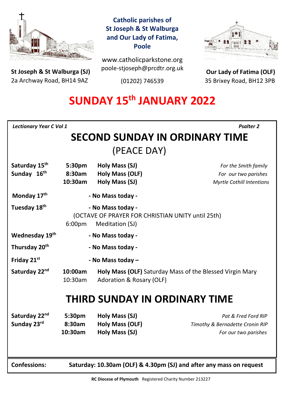

**St Joseph & St Walburga (SJ)** 2a Archway Road, BH14 9AZ 

**Catholic parishes of St Joseph & St Walburga and Our Lady of Fatima, Poole**

www.catholicparkstone.org poole-stjoseph@prcdtr.org.uk

(01202) 746539



**Our Lady of Fatima (OLF)** 35 Brixey Road, BH12 3PB

# **SUNDAY 15th JANUARY 2022**

*Lectionary Year C Vol 1**Psalter 2*

## **SECOND SUNDAY IN ORDINARY TIME** (PEACE DAY)

| Saturday 15 <sup>th</sup><br>Sunday 16th | 5:30pm<br>8:30am<br>10:30am                                                                         | Holy Mass (SJ)<br><b>Holy Mass (OLF)</b><br>Holy Mass (SJ) | For the Smith family<br>For our two parishes<br><b>Myrtle Cothill Intentions</b> |
|------------------------------------------|-----------------------------------------------------------------------------------------------------|------------------------------------------------------------|----------------------------------------------------------------------------------|
| Monday 17th                              | - No Mass today -                                                                                   |                                                            |                                                                                  |
| Tuesday 18 <sup>th</sup>                 | - No Mass today -<br>(OCTAVE OF PRAYER FOR CHRISTIAN UNITY until 25th)<br>6:00pm<br>Meditation (SJ) |                                                            |                                                                                  |
| Wednesday 19th                           | - No Mass today -                                                                                   |                                                            |                                                                                  |
| Thursday 20 <sup>th</sup>                | - No Mass today -                                                                                   |                                                            |                                                                                  |
| Friday 21st                              | - No Mass today -                                                                                   |                                                            |                                                                                  |
| Saturday 22 <sup>nd</sup>                | 10:00am<br>10:30am                                                                                  | Adoration & Rosary (OLF)                                   | Holy Mass (OLF) Saturday Mass of the Blessed Virgin Mary                         |
| <b>THIRD SUNDAY IN ORDINARY TIME</b>     |                                                                                                     |                                                            |                                                                                  |
| Saturday 22 <sup>nd</sup><br>Sunday 23rd | 5:30pm<br>8:30am<br>10:30am                                                                         | Holy Mass (SJ)<br><b>Holy Mass (OLF)</b><br>Holy Mass (SJ) | Pat & Fred Ford RIP<br>Timothy & Bernadette Cronin RIP<br>For our two parishes   |
| <b>Confessions:</b>                      | Saturday: 10.30am (OLF) & 4.30pm (SJ) and after any mass on request                                 |                                                            |                                                                                  |